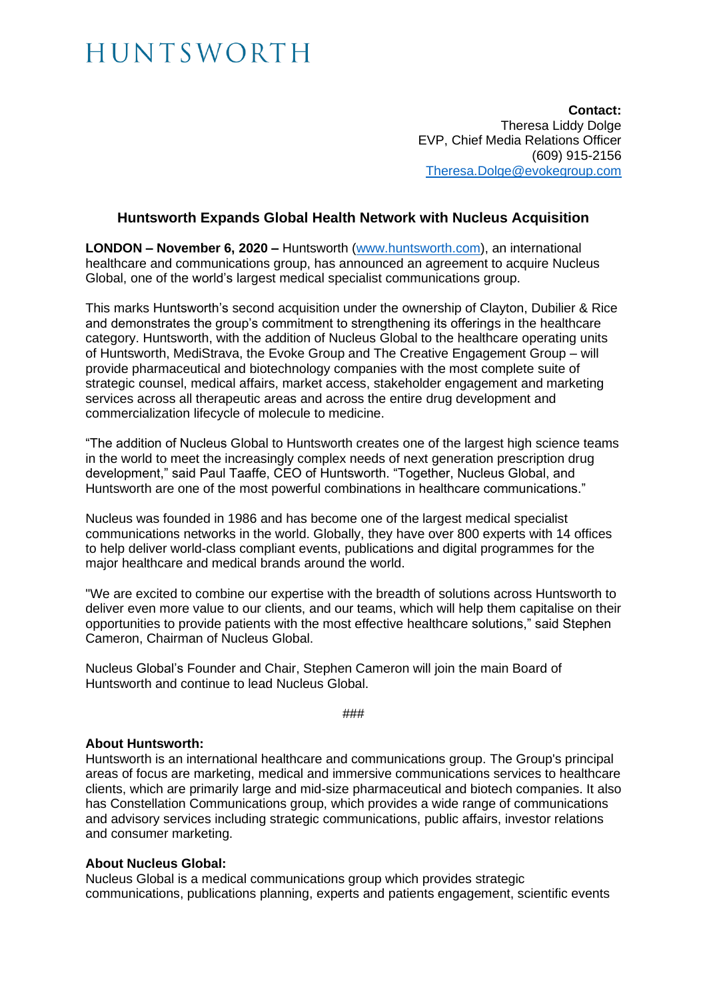## HUNTSWORTH

**Contact:** Theresa Liddy Dolge EVP, Chief Media Relations Officer (609) 915-2156 [Theresa.Dolge@evokegroup.com](mailto:Theresa.Dolge@evokegroup.com)

### **Huntsworth Expands Global Health Network with Nucleus Acquisition**

**LONDON – November 6, 2020 –** Huntsworth [\(www.huntsworth.com\)](http://www.huntsworth.com/), an international healthcare and communications group, has announced an agreement to acquire Nucleus Global, one of the world's largest medical specialist communications group.

This marks Huntsworth's second acquisition under the ownership of Clayton, Dubilier & Rice and demonstrates the group's commitment to strengthening its offerings in the healthcare category. Huntsworth, with the addition of Nucleus Global to the healthcare operating units of Huntsworth, MediStrava, the Evoke Group and The Creative Engagement Group – will provide pharmaceutical and biotechnology companies with the most complete suite of strategic counsel, medical affairs, market access, stakeholder engagement and marketing services across all therapeutic areas and across the entire drug development and commercialization lifecycle of molecule to medicine.

"The addition of Nucleus Global to Huntsworth creates one of the largest high science teams in the world to meet the increasingly complex needs of next generation prescription drug development," said Paul Taaffe, CEO of Huntsworth. "Together, Nucleus Global, and Huntsworth are one of the most powerful combinations in healthcare communications."

Nucleus was founded in 1986 and has become one of the largest medical specialist communications networks in the world. Globally, they have over 800 experts with 14 offices to help deliver world-class compliant events, publications and digital programmes for the major healthcare and medical brands around the world.

"We are excited to combine our expertise with the breadth of solutions across Huntsworth to deliver even more value to our clients, and our teams, which will help them capitalise on their opportunities to provide patients with the most effective healthcare solutions," said Stephen Cameron, Chairman of Nucleus Global.

Nucleus Global's Founder and Chair, Stephen Cameron will join the main Board of Huntsworth and continue to lead Nucleus Global.

###

#### **About Huntsworth:**

Huntsworth is an international healthcare and communications group. The Group's principal areas of focus are marketing, medical and immersive communications services to healthcare clients, which are primarily large and mid-size pharmaceutical and biotech companies. It also has Constellation Communications group, which provides a wide range of communications and advisory services including strategic communications, public affairs, investor relations and consumer marketing.

#### **About Nucleus Global:**

Nucleus Global is a medical communications group which provides strategic communications, publications planning, experts and patients engagement, scientific events